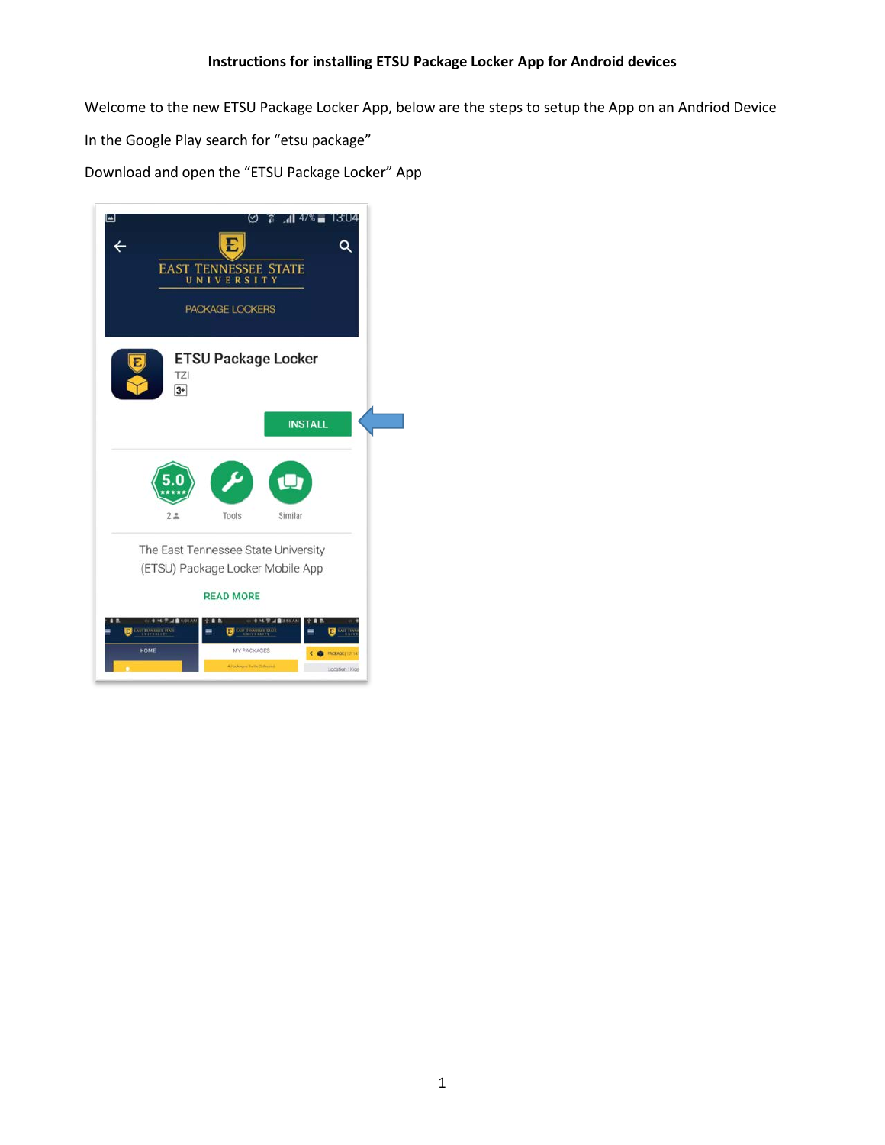Welcome to the new ETSU Package Locker App, below are the steps to setup the App on an Andriod Device In the Google Play search for "etsu package" Download and open the "ETSU Package Locker" App

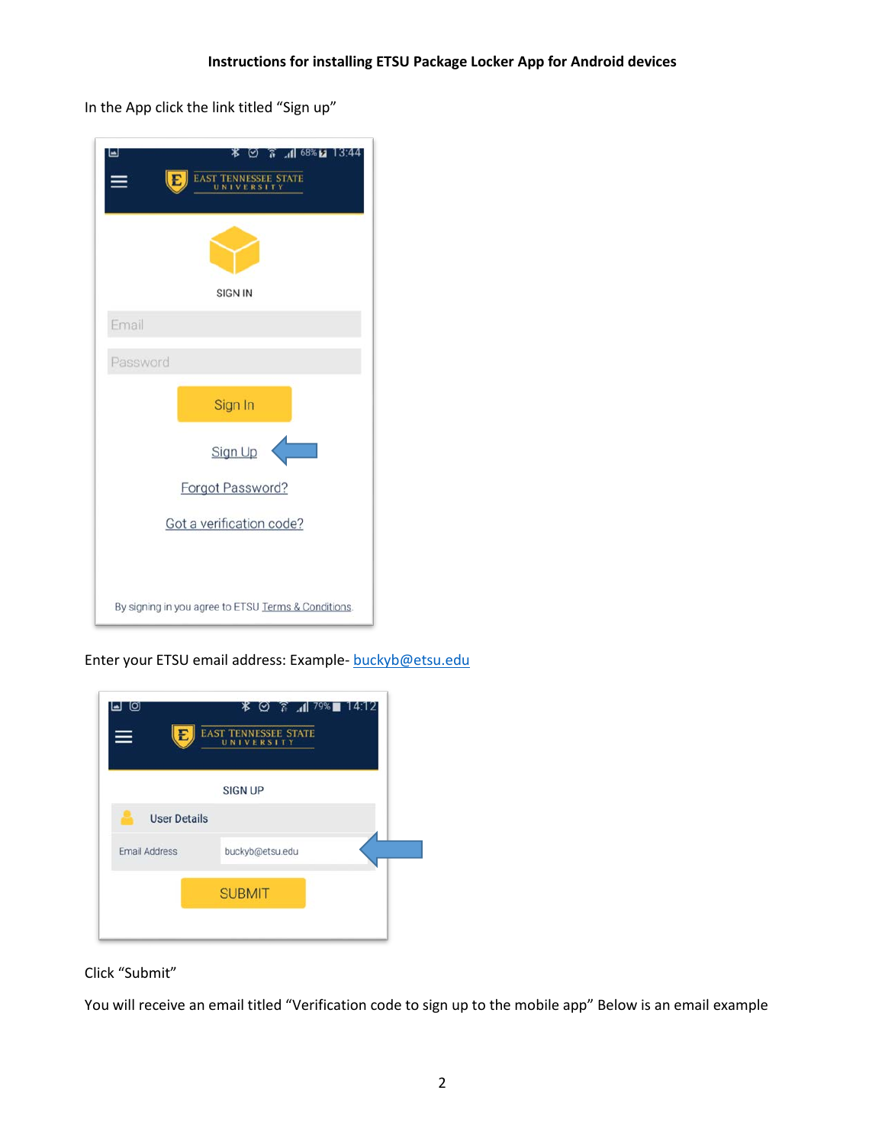In the App click the link titled "Sign up"

| 13:44<br>ا دا<br>∗<br>⊠ 188 11. ⊼<br>⊘∴<br>EAST TENNESSEE STATE<br>E |
|----------------------------------------------------------------------|
|                                                                      |
| <b>SIGN IN</b>                                                       |
| Email                                                                |
| Password                                                             |
| Sign In                                                              |
| Sign Up                                                              |
| Forgot Password?                                                     |
| Got a verification code?                                             |
|                                                                      |
| By signing in you agree to ETSU Terms & Conditions.                  |

Enter your ETSU email address: Example- [buckyb@etsu.edu](mailto:buckyb@etsu.edu)

| _ලු<br>⊌<br>$\equiv$ | <b><i>\</i></b> ⊘ ໋ 1  79% ∎<br>14:12<br>EAST TENNESSEE STATE |
|----------------------|---------------------------------------------------------------|
|                      | <b>SIGN UP</b>                                                |
| <b>User Details</b>  |                                                               |
| <b>Email Address</b> | buckyb@etsu.edu                                               |
|                      | <b>SUBMIT</b>                                                 |
|                      |                                                               |

Click "Submit"

You will receive an email titled "Verification code to sign up to the mobile app" Below is an email example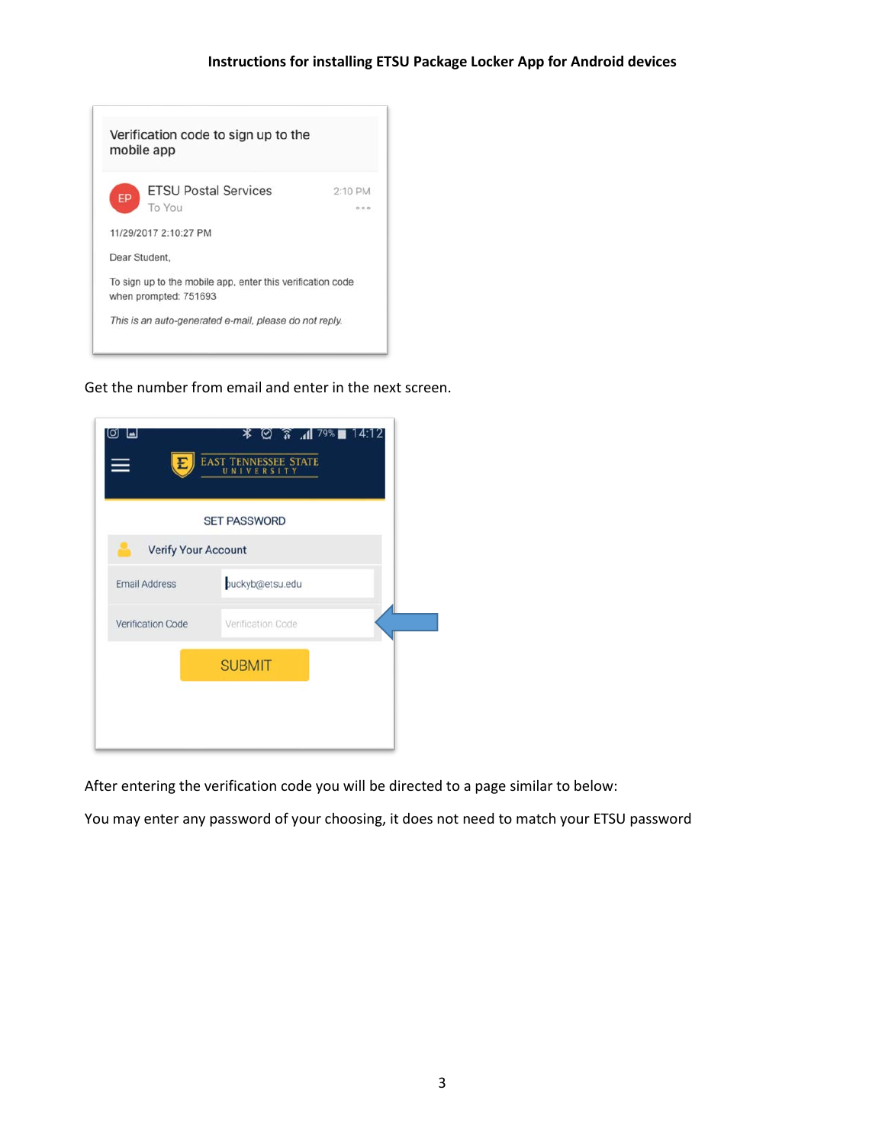

Get the number from email and enter in the next screen.

| [O]<br>لدا                 | 14:12<br>® है ⊠<br>$79\%$<br>ж<br><b>EAST TENNESSEE STATE</b><br>UNIVERSITY |
|----------------------------|-----------------------------------------------------------------------------|
|                            | <b>SET PASSWORD</b>                                                         |
| <b>Verify Your Account</b> |                                                                             |
| <b>Email Address</b>       | puckyb@etsu.edu                                                             |
| Verification Code          | Verification Code                                                           |
|                            | <b>SUBMIT</b>                                                               |
|                            |                                                                             |
|                            |                                                                             |

After entering the verification code you will be directed to a page similar to below:

You may enter any password of your choosing, it does not need to match your ETSU password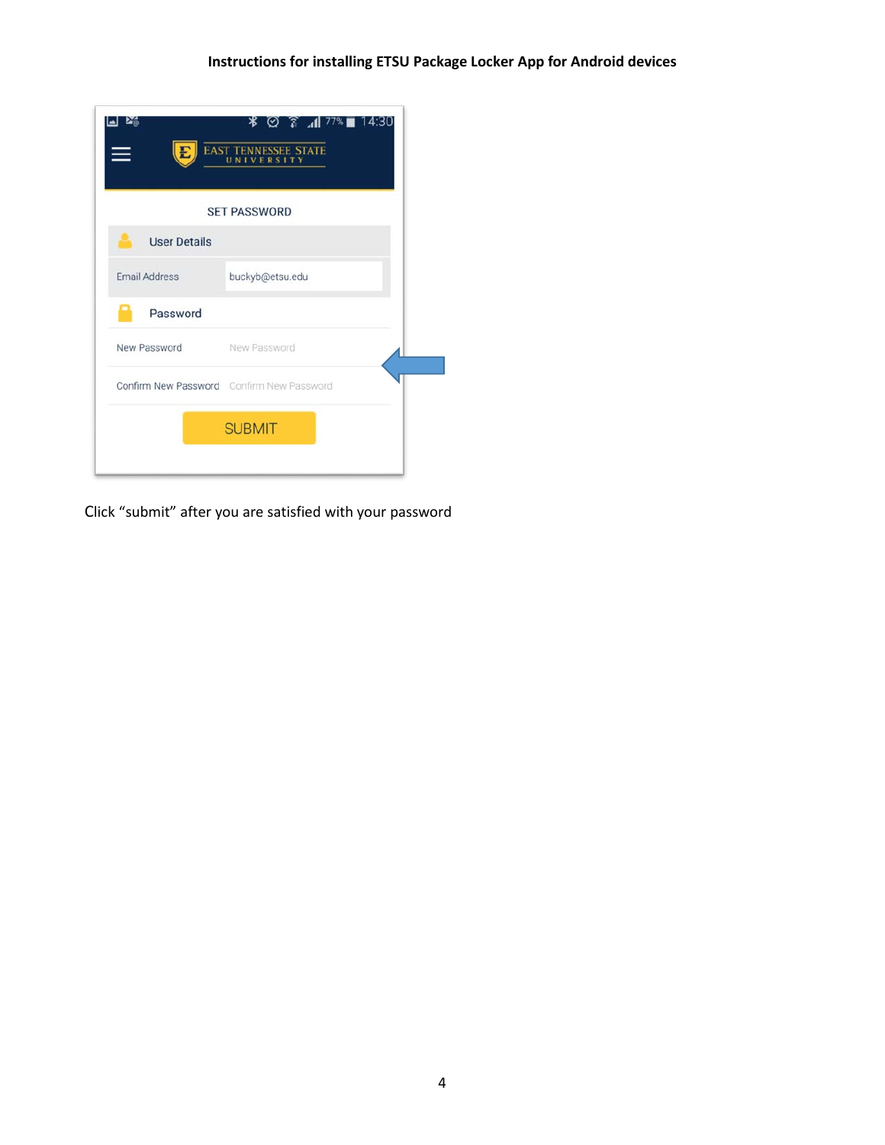| E                   | <b>EAST TENNESSEE STATE</b><br>UNIVERSITY |
|---------------------|-------------------------------------------|
|                     | <b>SET PASSWORD</b>                       |
| <b>User Details</b> |                                           |
| Email Address       | buckyb@etsu.edu                           |
| Password            |                                           |
| New Password        | New Password                              |
|                     | Confirm New Password Confirm New Password |
|                     | <b>SUBMIT</b>                             |

Click "submit" after you are satisfied with your password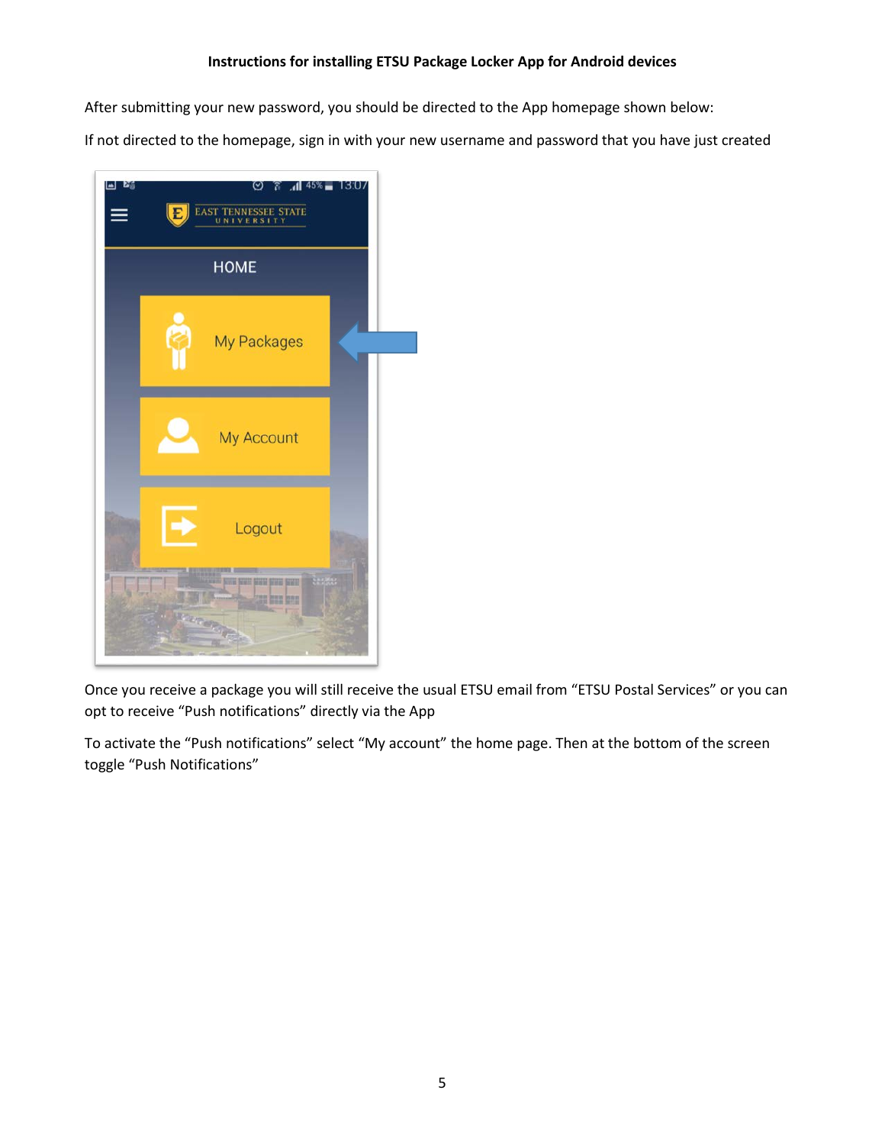After submitting your new password, you should be directed to the App homepage shown below:

If not directed to the homepage, sign in with your new username and password that you have just created



Once you receive a package you will still receive the usual ETSU email from "ETSU Postal Services" or you can opt to receive "Push notifications" directly via the App

To activate the "Push notifications" select "My account" the home page. Then at the bottom of the screen toggle "Push Notifications"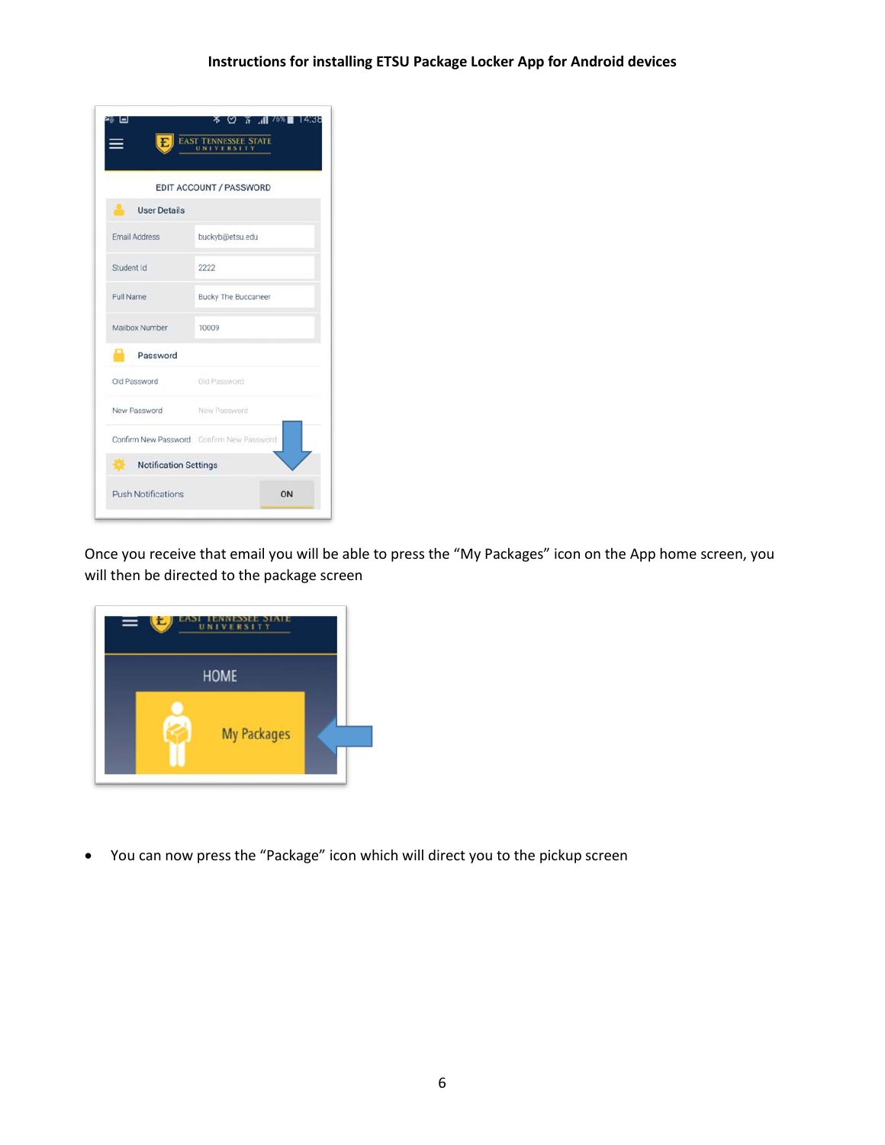|                           | <b>EAST TENNESSEE STATE</b>               |
|---------------------------|-------------------------------------------|
|                           | EDIT ACCOUNT / PASSWORD                   |
| User Details              |                                           |
| <b>Email Address</b>      | buckyb@etsu.edu                           |
| Student Id                | 2222                                      |
| Full Name                 | <b>Bucky The Buccaneer</b>                |
| Mailbox Number            | 10009                                     |
| Password                  |                                           |
| Old Password Old Password |                                           |
| New Password New Password |                                           |
|                           | Confirm New Password Confirm New Password |
| Notification Settings     |                                           |
| <b>Push Notifications</b> | ON                                        |

Once you receive that email you will be able to press the "My Packages" icon on the App home screen, you will then be directed to the package screen



• You can now press the "Package" icon which will direct you to the pickup screen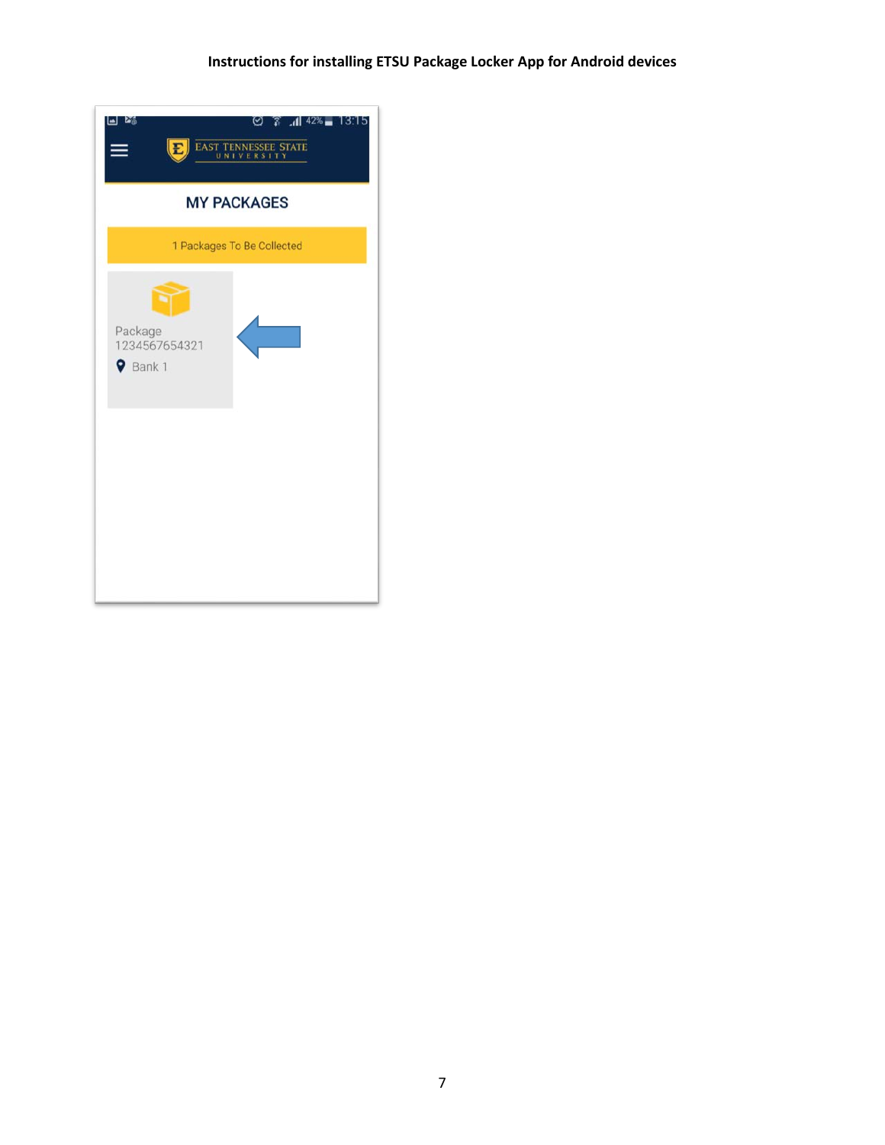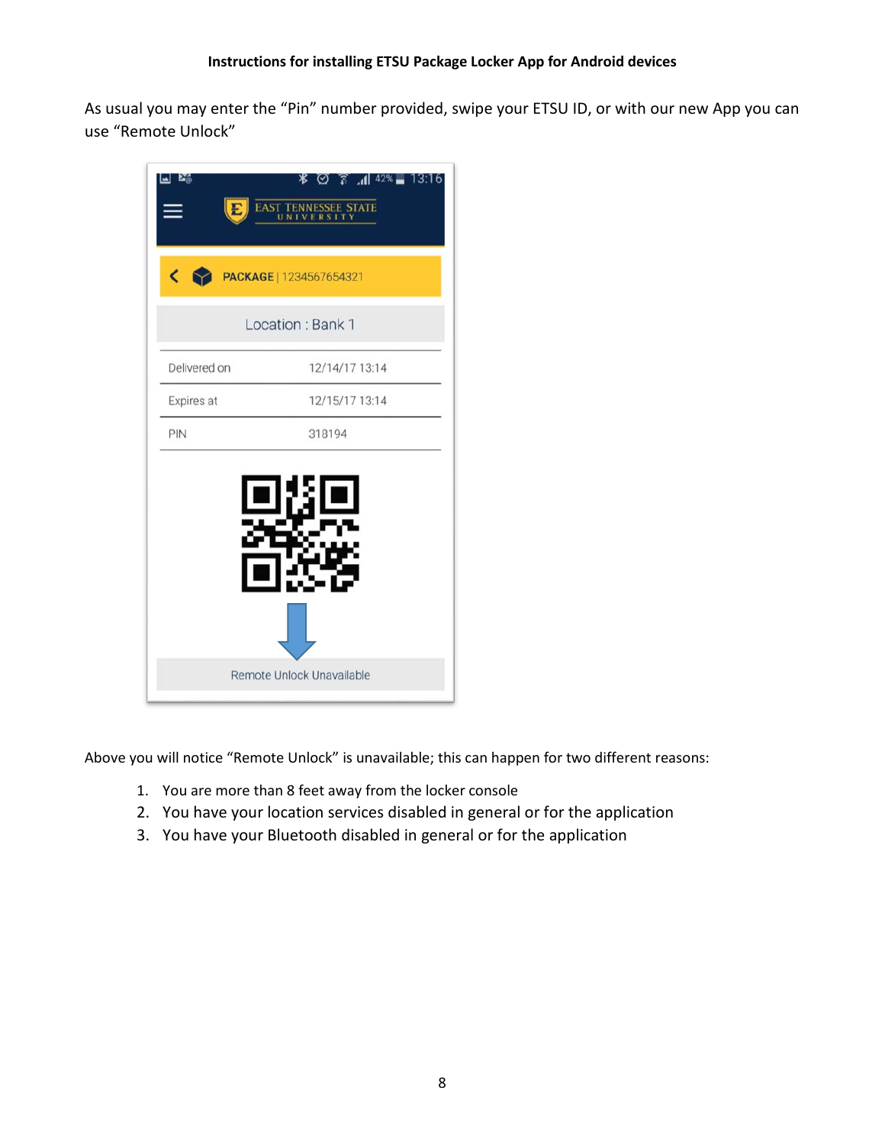As usual you may enter the "Pin" number provided, swipe your ETSU ID, or with our new App you can use "Remote Unlock"

| Ľõ<br>E,     | 13:16<br>ж<br>$42\%$ $-$<br>71. A<br>(∽)<br>ENNESSEE STATE<br><b>EAST 1</b><br>UN. |
|--------------|------------------------------------------------------------------------------------|
| ←            | PACKAGE   1234567654321                                                            |
|              | Location: Bank 1                                                                   |
| Delivered on | 12/14/17 13:14                                                                     |
| Expires at   | 12/15/17 13:14                                                                     |
| PIN          | 318194                                                                             |
|              |                                                                                    |
|              |                                                                                    |

Above you will notice "Remote Unlock" is unavailable; this can happen for two different reasons:

- 1. You are more than 8 feet away from the locker console
- 2. You have your location services disabled in general or for the application
- 3. You have your Bluetooth disabled in general or for the application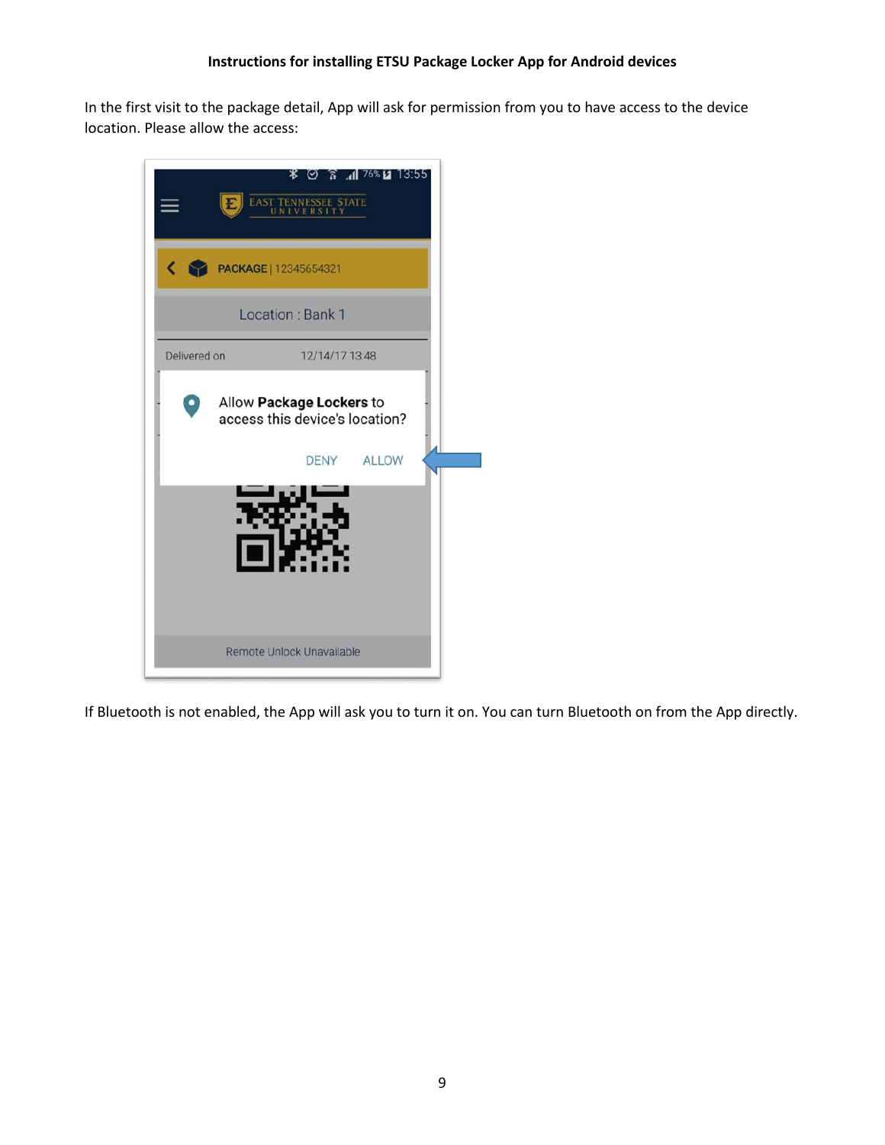In the first visit to the package detail, App will ask for permission from you to have access to the device location. Please allow the access:



If Bluetooth is not enabled, the App will ask you to turn it on. You can turn Bluetooth on from the App directly.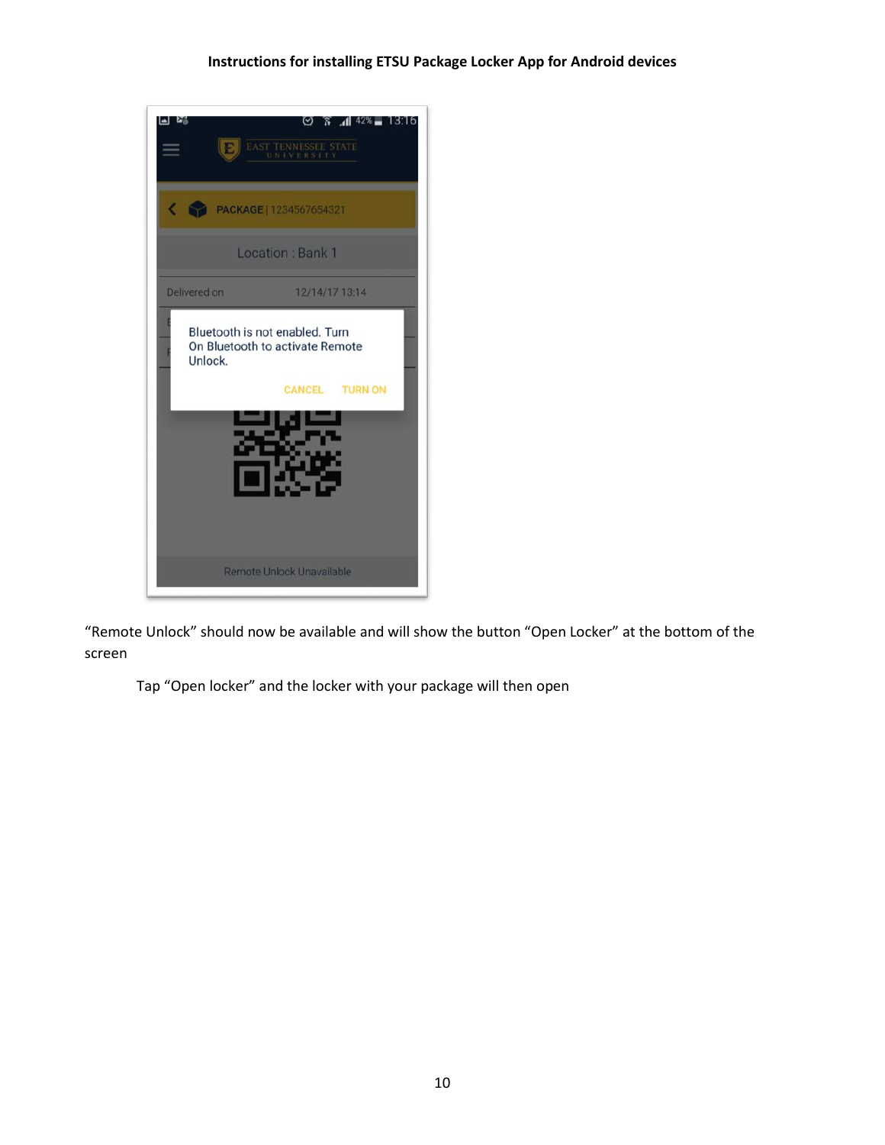

"Remote Unlock" should now be available and will show the button "Open Locker" at the bottom of the screen

Tap "Open locker" and the locker with your package will then open